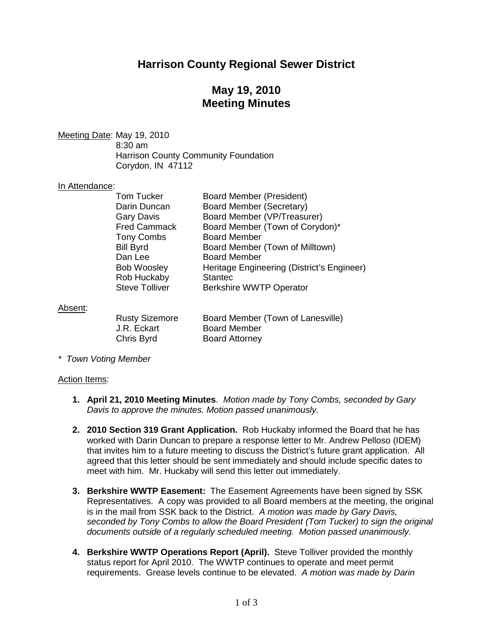# **Harrison County Regional Sewer District**

# **May 19, 2010 Meeting Minutes**

Meeting Date : May 19, 2010 8:30 am Harrison County Community Foundation Corydon, IN 47112

### In Attendance:

| <b>Tom Tucker</b><br>Darin Duncan<br><b>Gary Davis</b><br><b>Fred Cammack</b><br><b>Tony Combs</b><br><b>Bill Byrd</b><br>Dan Lee<br><b>Bob Woosley</b> | <b>Board Member (President)</b><br><b>Board Member (Secretary)</b><br>Board Member (VP/Treasurer)<br>Board Member (Town of Corydon)*<br><b>Board Member</b><br>Board Member (Town of Milltown)<br><b>Board Member</b><br>Heritage Engineering (District's Engineer) |
|---------------------------------------------------------------------------------------------------------------------------------------------------------|---------------------------------------------------------------------------------------------------------------------------------------------------------------------------------------------------------------------------------------------------------------------|
|                                                                                                                                                         |                                                                                                                                                                                                                                                                     |
| <b>Rob Huckaby</b>                                                                                                                                      | <b>Stantec</b>                                                                                                                                                                                                                                                      |
| <b>Steve Tolliver</b>                                                                                                                                   | <b>Berkshire WWTP Operator</b>                                                                                                                                                                                                                                      |
|                                                                                                                                                         |                                                                                                                                                                                                                                                                     |

#### Absent:

| <b>Rusty Sizemore</b> | Board Member (Town of Lanesville) |
|-----------------------|-----------------------------------|
| J.R. Eckart           | <b>Board Member</b>               |
| Chris Byrd            | <b>Board Attorney</b>             |

*\* Town Voting Member*

#### Action Items:

- **1. April 21, 2010 Meeting Minutes**. *Motion made by Tony Combs, seconded by Gary Davis to approve the minutes. Motion passed unanimously.*
- **2. 2010 Section 319 Grant Application.** Rob Huckaby informed the Board that he has worked with Darin Duncan to prepare a response letter to Mr. Andrew Pelloso (IDEM) that invites him to a future meeting to discuss the District's future grant application. All agreed that this letter should be sent immediately and should include specific dates to meet with him. Mr. Huckaby will send this letter out immediately.
- **3. Berkshire WWTP Easement:** The Easement Agreements have been signed by SSK Representatives. A copy was provided to all Board members at the meeting, the original is in the mail from SSK back to the District. *A motion was made by Gary Davis, seconded by Tony Combs to allow the Board President (Tom Tucker) to sign the original documents outside of a regularly scheduled meeting. Motion passed unanimously.*
- **4. Berkshire WWTP Operations Report (April).** Steve Tolliver provided the monthly status report for April 2010. The WWTP continues to operate and meet permit requirements. Grease levels continue to be elevated. *A motion was made by Darin*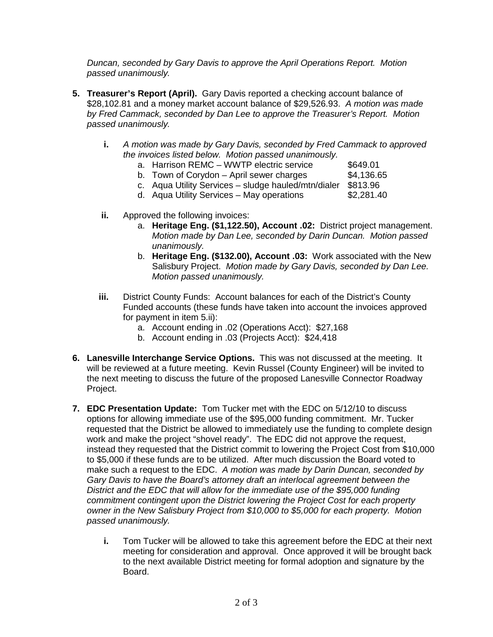*Duncan, seconded by Gary Davis to approve the April Operations Report. Motion passed unanimously.*

- **5. Treasurer's Report (April).** Gary Davis reported a checking account balance of \$28,102.81 and a money market account balance of \$29,526.93. *A motion was made by Fred Cammack, seconded by Dan Lee to approve the Treasurer's Report. Motion passed unanimously.*
	- **i.** *A motion was made by Gary Davis, seconded by Fred Cammack to approved the invoices listed below. Motion passed unanimously.*
		- a. Harrison REMC WWTP electric service \$649.01
		- b. Town of Corydon April sewer charges  $$4,136.65$
		- c. Aqua Utility Services sludge hauled/mtn/dialer \$813.96
		- d. Aqua Utility Services May operations \$2,281.40
	- **ii.** Approved the following invoices:
		- a. **Heritage Eng. (\$1,122.50), Account .02:** District project management. *Motion made by Dan Lee, seconded by Darin Duncan. Motion passed unanimously.*
		- b. **Heritage Eng. (\$132.00), Account .03:** Work associated with the New Salisbury Project. *Motion made by Gary Davis, seconded by Dan Lee. Motion passed unanimously.*
	- **iii.** District County Funds: Account balances for each of the District's County Funded accounts (these funds have taken into account the invoices approved for payment in item 5.ii):
		- a. Account ending in .02 (Operations Acct): \$27,168
		- b. Account ending in .03 (Projects Acct): \$24,418
- **6. Lanesville Interchange Service Options.** This was not discussed at the meeting. It will be reviewed at a future meeting. Kevin Russel (County Engineer) will be invited to the next meeting to discuss the future of the proposed Lanesville Connector Roadway Project.
- **7. EDC Presentation Update:** Tom Tucker met with the EDC on 5/12/10 to discuss options for allowing immediate use of the \$95,000 funding commitment. Mr. Tucker requested that the District be allowed to immediately use the funding to complete design work and make the project "shovel ready". The EDC did not approve the request, instead they requested that the District commit to lowering the Project Cost from \$10,000 to \$5,000 if these funds are to be utilized. After much discussion the Board voted to make such a request to the EDC. *A motion was made by Darin Duncan, seconded by Gary Davis to have the Board's attorney draft an interlocal agreement between the District and the EDC that will allow for the immediate use of the \$95,000 funding commitment contingent upon the District lowering the Project Cost for each property owner in the New Salisbury Project from \$10,000 to \$5,000 for each property. Motion passed unanimously.* 
	- **i.** Tom Tucker will be allowed to take this agreement before the EDC at their next meeting for consideration and approval. Once approved it will be brought back to the next available District meeting for formal adoption and signature by the Board.